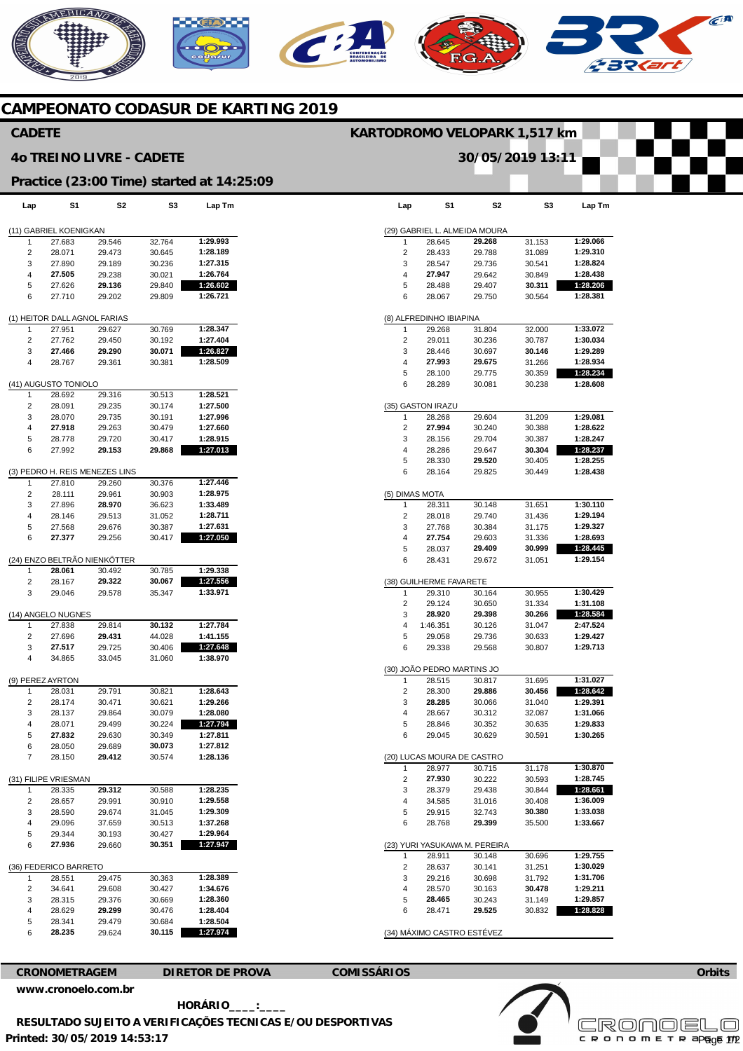## AERICANO  $\widehat{C}^{A}$  $\mathbf{C}$

## **CAMPEONATO CODASUR DE KARTING 2019**

### **CADETE**

### **4o TREINO LIVRE - CADETE**

### **Practice (23:00 Time) started at 14:25:09**

| Lap                    | S1                           | S2                             | S3     | Lap Tm   |  |  |
|------------------------|------------------------------|--------------------------------|--------|----------|--|--|
| (11) GABRIEL KOENIGKAN |                              |                                |        |          |  |  |
| 1                      | 27.683                       | 29.546                         | 32.764 | 1:29.993 |  |  |
| 2                      | 28.071                       | 29.473                         | 30.645 | 1:28.189 |  |  |
| 3                      | 27.890                       | 29.189                         | 30.236 | 1:27.315 |  |  |
| 4                      | 27.505                       | 29.238<br>30.021               |        | 1:26.764 |  |  |
| 5                      | 27.626                       | 29.136                         | 29.840 | 1:26.602 |  |  |
| 6                      | 27.710                       | 29.202                         | 29.809 | 1:26.721 |  |  |
|                        | (1) HEITOR DALL AGNOL FARIAS |                                |        |          |  |  |
| 1                      | 27.951                       | 29.627                         | 30.769 | 1:28.347 |  |  |
| 2                      | 27.762                       | 29.450                         | 30.192 | 1:27.404 |  |  |
| 3                      | 27.466                       | 29.290                         | 30.071 | 1:26.827 |  |  |
| 4                      | 28.767                       | 29.361                         | 30.381 | 1:28.509 |  |  |
|                        | (41) AUGUSTO TONIOLO         |                                |        |          |  |  |
| 1                      | 28.692                       | 29.316                         | 30.513 | 1:28.521 |  |  |
| 2                      | 28.091                       | 29.235                         | 30.174 | 1:27.500 |  |  |
| 3                      | 28.070                       | 29.735                         | 30.191 | 1:27.996 |  |  |
| 4                      | 27.918                       | 29.263                         | 30.479 | 1:27.660 |  |  |
| 5                      | 28.778                       | 29.720                         | 30.417 | 1:28.915 |  |  |
| 6                      | 27.992                       | 29.153                         | 29.868 | 1:27.013 |  |  |
|                        |                              | (3) PEDRO H. REIS MENEZES LINS |        |          |  |  |
| 1                      | 27.810                       | 29.260                         | 30.376 | 1:27.446 |  |  |
| 2                      | 28.111                       | 29.961                         | 30.903 | 1:28.975 |  |  |
| 3                      | 27.896                       | 28.970                         | 36.623 | 1:33.489 |  |  |
| 4                      | 28.146                       | 29.513                         | 31.052 | 1:28.711 |  |  |
| 5                      | 27.568                       | 29.676                         | 30.387 | 1:27.631 |  |  |
| 6                      | 27.377                       | 29.256                         | 30.417 | 1:27.050 |  |  |
|                        |                              | (24) ENZO BELTRÃO NIENKÖTTER   |        |          |  |  |
| 1                      | 28.061                       | 30.492                         | 30.785 | 1:29.338 |  |  |
| 2                      | 28.167                       | 29.322                         | 30.067 | 1:27.556 |  |  |
| 3                      | 29.046                       | 29.578                         | 35.347 | 1:33.971 |  |  |
|                        | (14) ANGELO NUGNES           |                                |        |          |  |  |
| 1                      | 27.838                       | 29.814                         | 30.132 | 1:27.784 |  |  |
| 2                      | 27.696                       | 29.431                         | 44.028 | 1:41.155 |  |  |
| 3                      | 27.517                       | 29.725                         | 30.406 | 1:27.648 |  |  |
| 4                      | 34.865                       | 33.045                         | 31.060 | 1:38.970 |  |  |
| (9) PEREZ AYRTON       |                              |                                |        |          |  |  |
| 1                      | 28.031                       | 29.791                         | 30.821 | 1:28.643 |  |  |
| 2                      | 28.174                       | 30.471                         | 30.621 | 1:29.266 |  |  |
| 3                      | 28.137                       | 29.864                         | 30.079 | 1:28.080 |  |  |
| 4                      | 28.071                       | 29.499                         | 30.224 | 1:27.794 |  |  |
| 5                      | 27.832                       | 29.630                         | 30.349 | 1:27.811 |  |  |
| 6                      | 28.050                       | 29.689                         | 30.073 | 1:27.812 |  |  |
|                        | 28.150                       | 29.412                         | 30.574 | 1:28.136 |  |  |
|                        | (31) FILIPE VRIESMAN         |                                |        |          |  |  |
| 1                      | 28.335                       | 29.312                         | 30.588 | 1:28.235 |  |  |
| 2                      | 28.657                       | 29.991                         | 30.910 | 1:29.558 |  |  |
| 3                      | 28.590                       | 29.674                         | 31.045 | 1:29.309 |  |  |
| 4                      | 29.096                       | 37.659                         | 30.513 | 1:37.268 |  |  |
| 5                      | 29.344                       | 30.193                         | 30.427 | 1:29.964 |  |  |
| 6                      | 27.936                       | 29.660                         | 30.351 | 1:27.947 |  |  |
| (36) FEDERICO BARRETO  |                              |                                |        |          |  |  |
| 1                      | 28.551                       | 29.475                         | 30.363 | 1:28.389 |  |  |
| 2                      | 34.641                       | 29.608                         | 30.427 | 1:34.676 |  |  |
| 3                      | 28.315                       | 29.376                         | 30.669 | 1:28.360 |  |  |
| 4                      | 28.629                       | 29.299                         | 30.476 | 1:28.404 |  |  |
| 5                      | 28.341                       | 29.479                         | 30.684 | 1:28.504 |  |  |
| 6                      | 28.235                       | 29.624                         | 30.115 | 1:27.974 |  |  |

| Lap            | S1                         | S2                            | S3               | Lap Tm               |
|----------------|----------------------------|-------------------------------|------------------|----------------------|
|                |                            | (29) GABRIEL L. ALMEIDA MOURA |                  |                      |
| 1              | 28.645                     | 29.268                        | 31.153           | 1:29.066             |
| 2              | 28.433                     | 29.788                        | 31.089           | 1:29.310             |
| 3              | 28.547                     | 29.736                        | 30.541           | 1:28.824             |
| 4              | 27.947                     | 29.642                        | 30.849           | 1:28.438             |
| 5              | 28.488                     | 29.407                        | 30.311           | 1:28.206             |
| 6              | 28.067                     | 29.750                        | 30.564           | 1:28.381             |
|                | (8) ALFREDINHO IBIAPINA    |                               |                  |                      |
| 1              | 29.268                     | 31.804                        | 32.000           | 1:33.072             |
| 2              | 29.011                     | 30.236                        | 30.787<br>30.146 | 1:30.034<br>1:29.289 |
| 3              | 28.446                     | 30.697                        |                  | 1:28.934             |
| 4<br>5         | 27.993<br>28.100           | 29.675<br>29.775              | 31.266<br>30.359 | 1:28.234             |
| 6              | 28.289                     | 30.081                        | 30.238           | 1:28.608             |
|                | (35) GASTON IRAZU          |                               |                  |                      |
| 1              | 28.268                     | 29.604                        | 31.209           | 1:29.081             |
| 2              | 27.994                     | 30.240                        | 30.388           | 1:28.622             |
| 3              | 28.156                     | 29.704                        | 30.387           | 1:28.247             |
| 4              | 28.286                     | 29.647                        | 30.304           | 1:28.237             |
| 5              | 28.330                     | 29.520                        | 30.405           | 1:28.255             |
| 6              | 28.164                     | 29.825                        | 30.449           | 1:28.438             |
| (5) DIMAS MOTA |                            |                               |                  |                      |
| 1              | 28.311                     | 30.148                        | 31.651           | 1:30.110             |
| 2              | 28.018                     | 29.740                        | 31.436           | 1:29.194             |
| 3              | 27.768                     | 30.384                        | 31.175           | 1:29.327             |
| 4              | 27.754                     | 29.603                        | 31.336           | 1:28.693             |
| 5              | 28.037                     | 29.409                        | 30.999           | 1:28.445             |
| 6              | 28.431                     | 29.672                        | 31.051           | 1:29.154             |
|                | (38) GUILHERME FAVARETE    |                               |                  |                      |
| 1              | 29.310                     | 30.164                        | 30.955           | 1:30.429             |
| 2              | 29.124                     | 30.650                        | 31.334           | 1:31.108             |
| 3              | 28.920<br>1:46.351         | 29.398                        | 30.266           | 1:28.584<br>2:47.524 |
| 4<br>5         | 29.058                     | 30.126<br>29.736              | 31.047<br>30.633 | 1:29.427             |
| 6              | 29.338                     | 29.568                        | 30.807           | 1:29.713             |
|                | (30) JOÃO PEDRO MARTINS JO |                               |                  |                      |
| 1              | 28.515                     | 30.817                        | 31.695           | 1:31.027             |
| 2              | 28.300                     | 29.886                        | 30.456           | 1:28.642             |
| 3              | 28.285                     | 30.066                        | 31.040           | 1:29.391             |
| 4              | 28.667                     | 30.312                        | 32.087           | 1:31.066             |
| 5              | 28.846                     | 30.352                        | 30.635           | 1:29.833             |
| 6              | 29.045                     | 30.629                        | 30.591           | 1:30.265             |
|                | (20) LUCAS MOURA DE CASTRO |                               |                  |                      |
| 1              | 28.977                     | 30.715                        | 31.178           | 1:30.870             |
| 2              | 27.930                     | 30.222                        | 30.593           | 1:28.745             |
| 3              | 28.379                     | 29.438                        | 30.844           | 1:28.661             |
| 4              | 34.585                     | 31.016                        | 30.408           | 1:36.009             |
| 5              | 29.915                     | 32.743                        | 30.380           | 1:33.038             |
| 6              | 28.768                     | 29.399                        | 35.500           | 1:33.667             |
|                |                            | (23) YURI YASUKAWA M. PEREIRA |                  |                      |
| 1              | 28.911                     | 30.148                        | 30.696           | 1:29.755             |
| 2              | 28.637                     | 30.141                        | 31.251           | 1:30.029             |
| 3              | 29.216                     | 30.698                        | 31.792           | 1:31.706             |
| 4              | 28.570                     | 30.163                        | 30.478           | 1:29.211             |
| 5<br>6         | 28.465<br>28.471           | 30.243<br>29.525              | 31.149<br>30.832 | 1:29.857<br>1:28.828 |
|                |                            |                               |                  |                      |

**KARTODROMO VELOPARK 1,517 km** 

**30/05/2019 13:11** 



**[www.cronoelo.com.br](http://www.cronoelo.com.br)** 

**Printed: 30/05/2019 14:53:17 HORÁRIO\_\_\_\_:\_\_\_\_ RESULTADO SUJEITO A VERIFICAÇÕES TECNICAS E/OU DESPORTIVAS** 



**Orbits**